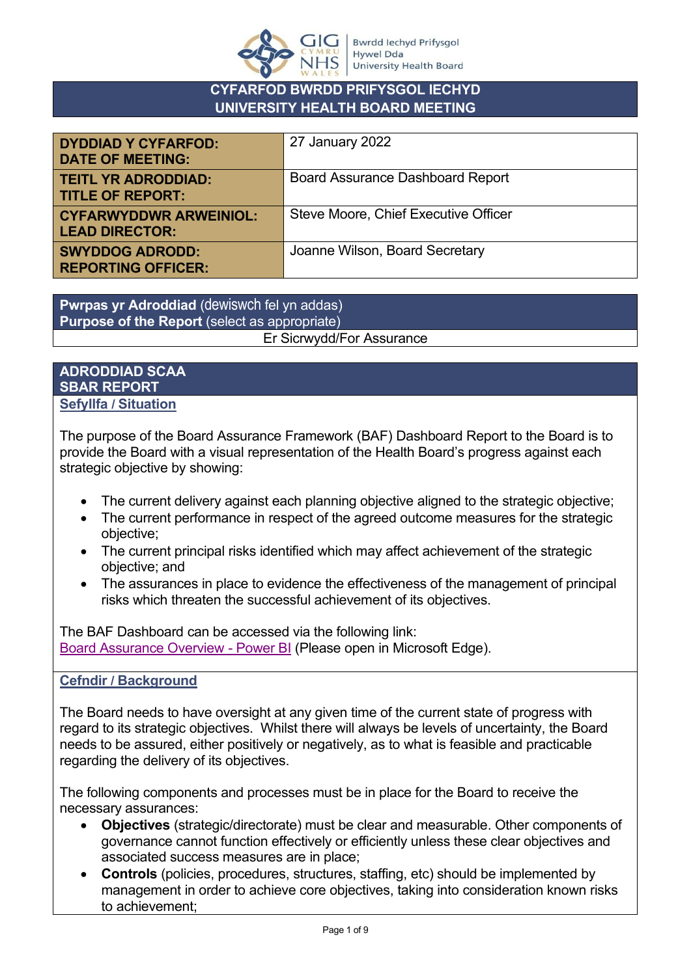

# **CYFARFOD BWRDD PRIFYSGOL IECHYD UNIVERSITY HEALTH BOARD MEETING**

| <b>DYDDIAD Y CYFARFOD:</b><br><b>DATE OF MEETING:</b>  | 27 January 2022                         |
|--------------------------------------------------------|-----------------------------------------|
| <b>TEITL YR ADRODDIAD:</b><br><b>TITLE OF REPORT:</b>  | <b>Board Assurance Dashboard Report</b> |
| <b>CYFARWYDDWR ARWEINIOL:</b><br><b>LEAD DIRECTOR:</b> | Steve Moore, Chief Executive Officer    |
| <b>SWYDDOG ADRODD:</b><br><b>REPORTING OFFICER:</b>    | Joanne Wilson, Board Secretary          |

**Pwrpas yr Adroddiad** (dewiswch fel yn addas) **Purpose of the Report** (select as appropriate) Er Sicrwydd/For Assurance

### **ADRODDIAD SCAA SBAR REPORT Sefyllfa / Situation**

The purpose of the Board Assurance Framework (BAF) Dashboard Report to the Board is to provide the Board with a visual representation of the Health Board's progress against each strategic objective by showing:

- The current delivery against each planning objective aligned to the strategic objective;
- The current performance in respect of the agreed outcome measures for the strategic objective;
- The current principal risks identified which may affect achievement of the strategic objective; and
- The assurances in place to evidence the effectiveness of the management of principal risks which threaten the successful achievement of its objectives.

The BAF Dashboard can be accessed via the following link: [Board Assurance Overview -](https://app.powerbi.com/view?r=eyJrIjoiNTQxMGMyZTEtMmExNi00Y2MxLTk1ZGYtYmQ3Njg0N2ZmNTQ5IiwidCI6ImJiNTYyOGI4LWUzMjgtNDA4Mi1hODU2LTQzM2M5ZWRjOGZhZSJ9) Power BI (Please open in Microsoft Edge).

# **Cefndir / Background**

The Board needs to have oversight at any given time of the current state of progress with regard to its strategic objectives. Whilst there will always be levels of uncertainty, the Board needs to be assured, either positively or negatively, as to what is feasible and practicable regarding the delivery of its objectives.

The following components and processes must be in place for the Board to receive the necessary assurances:

- **Objectives** (strategic/directorate) must be clear and measurable. Other components of governance cannot function effectively or efficiently unless these clear objectives and associated success measures are in place;
- **Controls** (policies, procedures, structures, staffing, etc) should be implemented by management in order to achieve core objectives, taking into consideration known risks to achievement;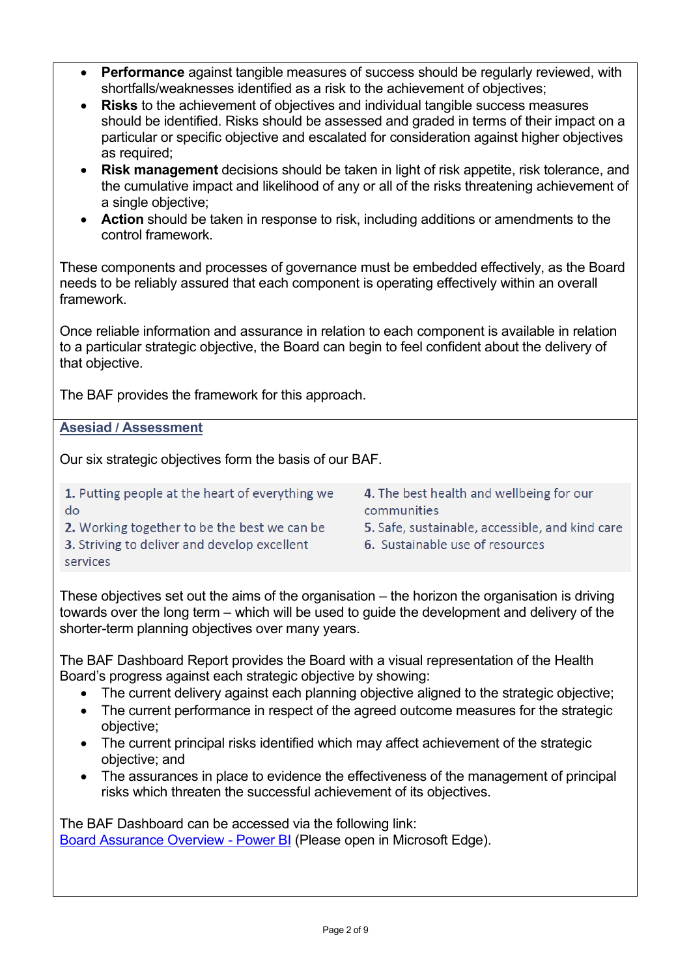- **Performance** against tangible measures of success should be regularly reviewed, with shortfalls/weaknesses identified as a risk to the achievement of objectives;
- **Risks** to the achievement of objectives and individual tangible success measures should be identified. Risks should be assessed and graded in terms of their impact on a particular or specific objective and escalated for consideration against higher objectives as required;
- **Risk management** decisions should be taken in light of risk appetite, risk tolerance, and the cumulative impact and likelihood of any or all of the risks threatening achievement of a single objective;
- **Action** should be taken in response to risk, including additions or amendments to the control framework.

These components and processes of governance must be embedded effectively, as the Board needs to be reliably assured that each component is operating effectively within an overall framework.

Once reliable information and assurance in relation to each component is available in relation to a particular strategic objective, the Board can begin to feel confident about the delivery of that objective.

The BAF provides the framework for this approach.

**Asesiad / Assessment**

Our six strategic objectives form the basis of our BAF.

1. Putting people at the heart of everything we do

2. Working together to be the best we can be

- 
- 4. The best health and wellbeing for our communities
- 5. Safe, sustainable, accessible, and kind care
- 6. Sustainable use of resources

3. Striving to deliver and develop excellent services

These objectives set out the aims of the organisation – the horizon the organisation is driving towards over the long term – which will be used to guide the development and delivery of the shorter-term planning objectives over many years.

The BAF Dashboard Report provides the Board with a visual representation of the Health Board's progress against each strategic objective by showing:

- The current delivery against each planning objective aligned to the strategic objective;
- The current performance in respect of the agreed outcome measures for the strategic objective;
- The current principal risks identified which may affect achievement of the strategic objective; and
- The assurances in place to evidence the effectiveness of the management of principal risks which threaten the successful achievement of its objectives.

The BAF Dashboard can be accessed via the following link: [Board Assurance Overview -](https://app.powerbi.com/view?r=eyJrIjoiNTQxMGMyZTEtMmExNi00Y2MxLTk1ZGYtYmQ3Njg0N2ZmNTQ5IiwidCI6ImJiNTYyOGI4LWUzMjgtNDA4Mi1hODU2LTQzM2M5ZWRjOGZhZSJ9) Power BI (Please open in Microsoft Edge).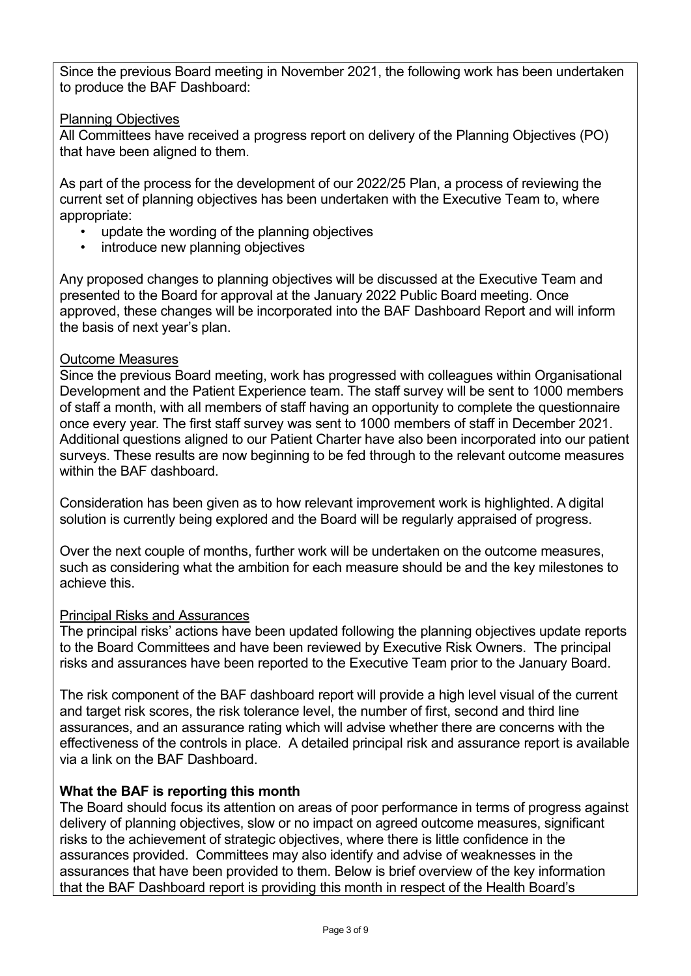Since the previous Board meeting in November 2021, the following work has been undertaken to produce the BAF Dashboard:

### Planning Objectives

All Committees have received a progress report on delivery of the Planning Objectives (PO) that have been aligned to them.

As part of the process for the development of our 2022/25 Plan, a process of reviewing the current set of planning objectives has been undertaken with the Executive Team to, where appropriate:

- update the wording of the planning objectives
- introduce new planning objectives

Any proposed changes to planning objectives will be discussed at the Executive Team and presented to the Board for approval at the January 2022 Public Board meeting. Once approved, these changes will be incorporated into the BAF Dashboard Report and will inform the basis of next year's plan.

#### Outcome Measures

Since the previous Board meeting, work has progressed with colleagues within Organisational Development and the Patient Experience team. The staff survey will be sent to 1000 members of staff a month, with all members of staff having an opportunity to complete the questionnaire once every year. The first staff survey was sent to 1000 members of staff in December 2021. Additional questions aligned to our Patient Charter have also been incorporated into our patient surveys. These results are now beginning to be fed through to the relevant outcome measures within the BAF dashboard.

Consideration has been given as to how relevant improvement work is highlighted. A digital solution is currently being explored and the Board will be regularly appraised of progress.

Over the next couple of months, further work will be undertaken on the outcome measures, such as considering what the ambition for each measure should be and the key milestones to achieve this.

#### Principal Risks and Assurances

The principal risks' actions have been updated following the planning objectives update reports to the Board Committees and have been reviewed by Executive Risk Owners. The principal risks and assurances have been reported to the Executive Team prior to the January Board.

The risk component of the BAF dashboard report will provide a high level visual of the current and target risk scores, the risk tolerance level, the number of first, second and third line assurances, and an assurance rating which will advise whether there are concerns with the effectiveness of the controls in place. A detailed principal risk and assurance report is available via a link on the BAF Dashboard.

#### **What the BAF is reporting this month**

The Board should focus its attention on areas of poor performance in terms of progress against delivery of planning objectives, slow or no impact on agreed outcome measures, significant risks to the achievement of strategic objectives, where there is little confidence in the assurances provided. Committees may also identify and advise of weaknesses in the assurances that have been provided to them. Below is brief overview of the key information that the BAF Dashboard report is providing this month in respect of the Health Board's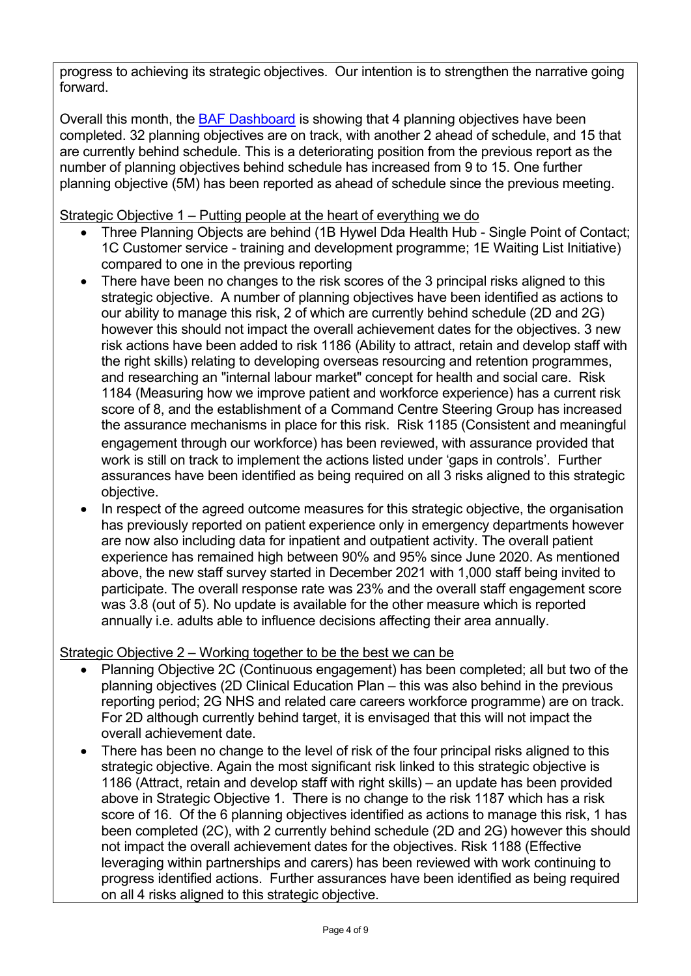progress to achieving its strategic objectives. Our intention is to strengthen the narrative going forward.

Overall this month, the [BAF Dashboard](file://///cymru.nhs.uk/hdd_dfs/shares/HDUHB/Corporate%20Services%20Directorate/LHB%20Board%20&%20Stat%20Committee/Public%20Board/13.%202022/1.%2027%20January%202022/3.1%20BAF/eyJrIjoiNTQxMGMyZTEtMmExNi00Y2MxLTk1ZGYtYmQ3Njg0N2ZmNTQ5IiwidCI6ImJiNTYyOGI4LWUzMjgtNDA4Mi1hODU2LTQzM2M5ZWRjOGZhZSJ9) is showing that 4 planning objectives have been completed. 32 planning objectives are on track, with another 2 ahead of schedule, and 15 that are currently behind schedule. This is a deteriorating position from the previous report as the number of planning objectives behind schedule has increased from 9 to 15. One further planning objective (5M) has been reported as ahead of schedule since the previous meeting.

Strategic Objective 1 – Putting people at the heart of everything we do

- Three Planning Objects are behind (1B Hywel Dda Health Hub Single Point of Contact; 1C Customer service - training and development programme; 1E Waiting List Initiative) compared to one in the previous reporting
- There have been no changes to the risk scores of the 3 principal risks aligned to this strategic objective. A number of planning objectives have been identified as actions to our ability to manage this risk, 2 of which are currently behind schedule (2D and 2G) however this should not impact the overall achievement dates for the objectives. 3 new risk actions have been added to risk 1186 (Ability to attract, retain and develop staff with the right skills) relating to developing overseas resourcing and retention programmes, and researching an "internal labour market" concept for health and social care. Risk 1184 (Measuring how we improve patient and workforce experience) has a current risk score of 8, and the establishment of a Command Centre Steering Group has increased the assurance mechanisms in place for this risk. Risk 1185 (Consistent and meaningful engagement through our workforce) has been reviewed, with assurance provided that work is still on track to implement the actions listed under 'gaps in controls'. Further assurances have been identified as being required on all 3 risks aligned to this strategic objective.
- In respect of the agreed outcome measures for this strategic objective, the organisation has previously reported on patient experience only in emergency departments however are now also including data for inpatient and outpatient activity. The overall patient experience has remained high between 90% and 95% since June 2020. As mentioned above, the new staff survey started in December 2021 with 1,000 staff being invited to participate. The overall response rate was 23% and the overall staff engagement score was 3.8 (out of 5). No update is available for the other measure which is reported annually i.e. adults able to influence decisions affecting their area annually.

# Strategic Objective 2 – Working together to be the best we can be

- Planning Objective 2C (Continuous engagement) has been completed; all but two of the planning objectives (2D Clinical Education Plan – this was also behind in the previous reporting period; 2G NHS and related care careers workforce programme) are on track. For 2D although currently behind target, it is envisaged that this will not impact the overall achievement date.
- There has been no change to the level of risk of the four principal risks aligned to this strategic objective. Again the most significant risk linked to this strategic objective is 1186 (Attract, retain and develop staff with right skills) – an update has been provided above in Strategic Objective 1. There is no change to the risk 1187 which has a risk score of 16. Of the 6 planning objectives identified as actions to manage this risk, 1 has been completed (2C), with 2 currently behind schedule (2D and 2G) however this should not impact the overall achievement dates for the objectives. Risk 1188 (Effective leveraging within partnerships and carers) has been reviewed with work continuing to progress identified actions. Further assurances have been identified as being required on all 4 risks aligned to this strategic objective.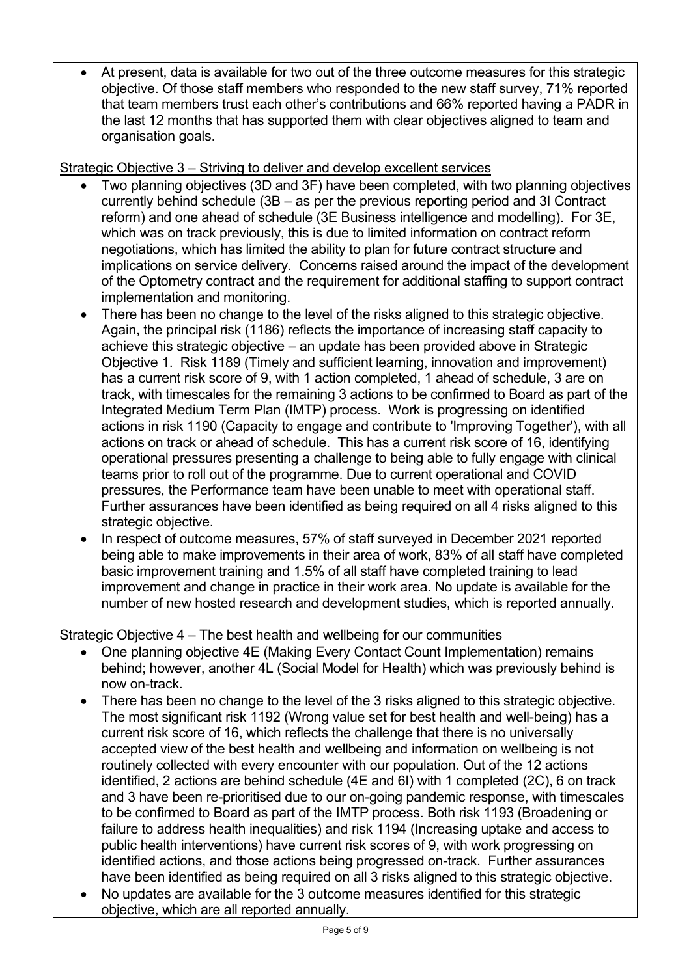• At present, data is available for two out of the three outcome measures for this strategic objective. Of those staff members who responded to the new staff survey, 71% reported that team members trust each other's contributions and 66% reported having a PADR in the last 12 months that has supported them with clear objectives aligned to team and organisation goals.

Strategic Objective 3 – Striving to deliver and develop excellent services

- Two planning objectives (3D and 3F) have been completed, with two planning objectives currently behind schedule (3B – as per the previous reporting period and 3I Contract reform) and one ahead of schedule (3E Business intelligence and modelling). For 3E, which was on track previously, this is due to limited information on contract reform negotiations, which has limited the ability to plan for future contract structure and implications on service delivery. Concerns raised around the impact of the development of the Optometry contract and the requirement for additional staffing to support contract implementation and monitoring.
- There has been no change to the level of the risks aligned to this strategic objective. Again, the principal risk (1186) reflects the importance of increasing staff capacity to achieve this strategic objective – an update has been provided above in Strategic Objective 1. Risk 1189 (Timely and sufficient learning, innovation and improvement) has a current risk score of 9, with 1 action completed, 1 ahead of schedule, 3 are on track, with timescales for the remaining 3 actions to be confirmed to Board as part of the Integrated Medium Term Plan (IMTP) process. Work is progressing on identified actions in risk 1190 (Capacity to engage and contribute to 'Improving Together'), with all actions on track or ahead of schedule. This has a current risk score of 16, identifying operational pressures presenting a challenge to being able to fully engage with clinical teams prior to roll out of the programme. Due to current operational and COVID pressures, the Performance team have been unable to meet with operational staff. Further assurances have been identified as being required on all 4 risks aligned to this strategic objective.
- In respect of outcome measures, 57% of staff surveyed in December 2021 reported being able to make improvements in their area of work, 83% of all staff have completed basic improvement training and 1.5% of all staff have completed training to lead improvement and change in practice in their work area. No update is available for the number of new hosted research and development studies, which is reported annually.

# Strategic Objective 4 – The best health and wellbeing for our communities

- One planning objective 4E (Making Every Contact Count Implementation) remains behind; however, another 4L (Social Model for Health) which was previously behind is now on-track.
- There has been no change to the level of the 3 risks aligned to this strategic objective. The most significant risk 1192 (Wrong value set for best health and well-being) has a current risk score of 16, which reflects the challenge that there is no universally accepted view of the best health and wellbeing and information on wellbeing is not routinely collected with every encounter with our population. Out of the 12 actions identified, 2 actions are behind schedule (4E and 6I) with 1 completed (2C), 6 on track and 3 have been re-prioritised due to our on-going pandemic response, with timescales to be confirmed to Board as part of the IMTP process. Both risk 1193 (Broadening or failure to address health inequalities) and risk 1194 (Increasing uptake and access to public health interventions) have current risk scores of 9, with work progressing on identified actions, and those actions being progressed on-track. Further assurances have been identified as being required on all 3 risks aligned to this strategic objective.
- No updates are available for the 3 outcome measures identified for this strategic objective, which are all reported annually.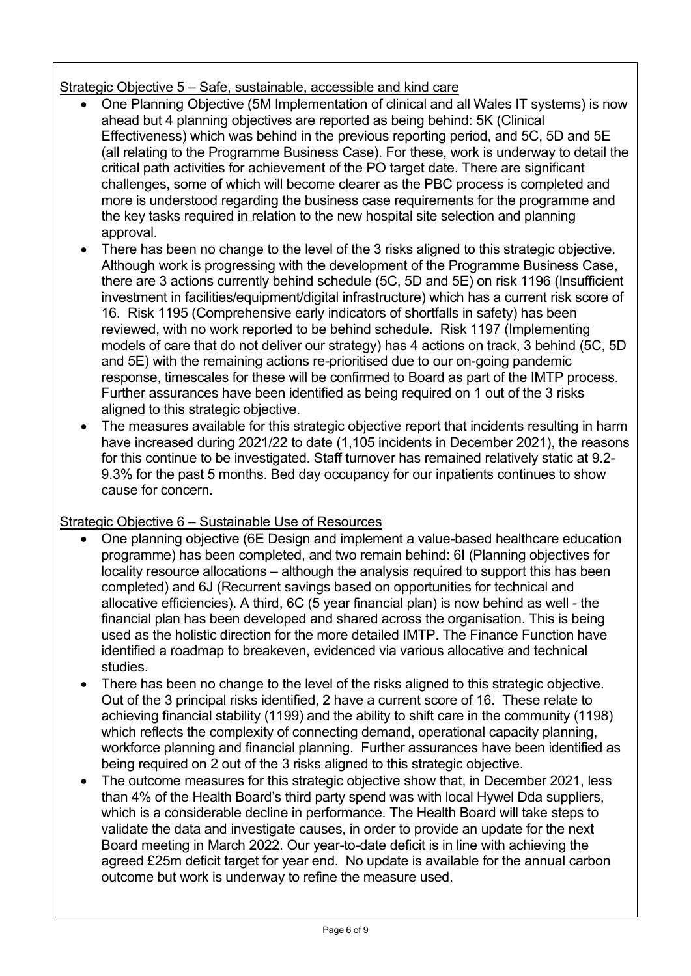# Strategic Objective 5 – Safe, sustainable, accessible and kind care

- One Planning Objective (5M Implementation of clinical and all Wales IT systems) is now ahead but 4 planning objectives are reported as being behind: 5K (Clinical Effectiveness) which was behind in the previous reporting period, and 5C, 5D and 5E (all relating to the Programme Business Case). For these, work is underway to detail the critical path activities for achievement of the PO target date. There are significant challenges, some of which will become clearer as the PBC process is completed and more is understood regarding the business case requirements for the programme and the key tasks required in relation to the new hospital site selection and planning approval.
- There has been no change to the level of the 3 risks aligned to this strategic objective. Although work is progressing with the development of the Programme Business Case, there are 3 actions currently behind schedule (5C, 5D and 5E) on risk 1196 (Insufficient investment in facilities/equipment/digital infrastructure) which has a current risk score of 16. Risk 1195 (Comprehensive early indicators of shortfalls in safety) has been reviewed, with no work reported to be behind schedule. Risk 1197 (Implementing models of care that do not deliver our strategy) has 4 actions on track, 3 behind (5C, 5D and 5E) with the remaining actions re-prioritised due to our on-going pandemic response, timescales for these will be confirmed to Board as part of the IMTP process. Further assurances have been identified as being required on 1 out of the 3 risks aligned to this strategic objective.
- The measures available for this strategic objective report that incidents resulting in harm have increased during 2021/22 to date (1,105 incidents in December 2021), the reasons for this continue to be investigated. Staff turnover has remained relatively static at 9.2- 9.3% for the past 5 months. Bed day occupancy for our inpatients continues to show cause for concern.

# Strategic Objective 6 – Sustainable Use of Resources

- One planning objective (6E Design and implement a value-based healthcare education programme) has been completed, and two remain behind: 6I (Planning objectives for locality resource allocations – although the analysis required to support this has been completed) and 6J (Recurrent savings based on opportunities for technical and allocative efficiencies). A third, 6C (5 year financial plan) is now behind as well - the financial plan has been developed and shared across the organisation. This is being used as the holistic direction for the more detailed IMTP. The Finance Function have identified a roadmap to breakeven, evidenced via various allocative and technical studies.
- There has been no change to the level of the risks aligned to this strategic objective. Out of the 3 principal risks identified, 2 have a current score of 16. These relate to achieving financial stability (1199) and the ability to shift care in the community (1198) which reflects the complexity of connecting demand, operational capacity planning, workforce planning and financial planning. Further assurances have been identified as being required on 2 out of the 3 risks aligned to this strategic objective.
- The outcome measures for this strategic objective show that, in December 2021, less than 4% of the Health Board's third party spend was with local Hywel Dda suppliers, which is a considerable decline in performance. The Health Board will take steps to validate the data and investigate causes, in order to provide an update for the next Board meeting in March 2022. Our year-to-date deficit is in line with achieving the agreed £25m deficit target for year end. No update is available for the annual carbon outcome but work is underway to refine the measure used.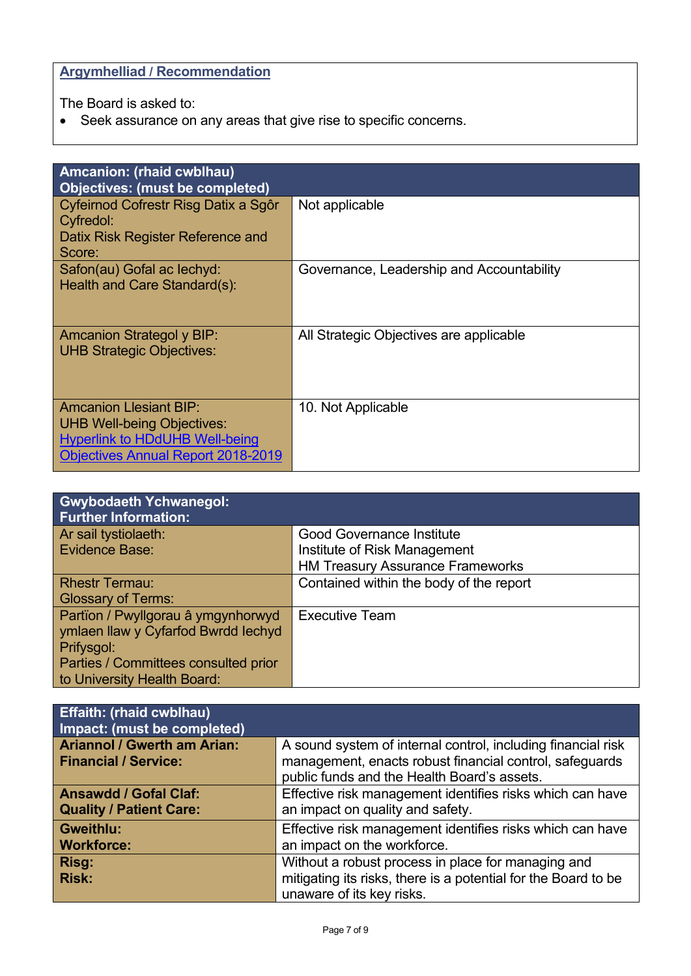**Argymhelliad / Recommendation**

The Board is asked to:

• Seek assurance on any areas that give rise to specific concerns.

| <b>Amcanion: (rhaid cwblhau)</b>          |                                           |  |  |  |
|-------------------------------------------|-------------------------------------------|--|--|--|
| Objectives: (must be completed)           |                                           |  |  |  |
| Cyfeirnod Cofrestr Risg Datix a Sgôr      | Not applicable                            |  |  |  |
| Cyfredol:                                 |                                           |  |  |  |
| Datix Risk Register Reference and         |                                           |  |  |  |
| Score:                                    |                                           |  |  |  |
| Safon(au) Gofal ac lechyd:                | Governance, Leadership and Accountability |  |  |  |
| Health and Care Standard(s):              |                                           |  |  |  |
|                                           |                                           |  |  |  |
|                                           |                                           |  |  |  |
| <b>Amcanion Strategol y BIP:</b>          | All Strategic Objectives are applicable   |  |  |  |
| <b>UHB Strategic Objectives:</b>          |                                           |  |  |  |
|                                           |                                           |  |  |  |
|                                           |                                           |  |  |  |
| <b>Amcanion Llesiant BIP:</b>             | 10. Not Applicable                        |  |  |  |
| <b>UHB Well-being Objectives:</b>         |                                           |  |  |  |
| <b>Hyperlink to HDdUHB Well-being</b>     |                                           |  |  |  |
| <b>Objectives Annual Report 2018-2019</b> |                                           |  |  |  |
|                                           |                                           |  |  |  |

| <b>Gwybodaeth Ychwanegol:</b><br><b>Further Information:</b> |                                         |
|--------------------------------------------------------------|-----------------------------------------|
| Ar sail tystiolaeth:                                         | <b>Good Governance Institute</b>        |
| Evidence Base:                                               | Institute of Risk Management            |
|                                                              | <b>HM Treasury Assurance Frameworks</b> |
| <b>Rhestr Termau:</b>                                        | Contained within the body of the report |
| <b>Glossary of Terms:</b>                                    |                                         |
| Partïon / Pwyllgorau â ymgynhorwyd                           | <b>Executive Team</b>                   |
| ymlaen llaw y Cyfarfod Bwrdd Iechyd                          |                                         |
| Prifysgol:                                                   |                                         |
| Parties / Committees consulted prior                         |                                         |
| to University Health Board:                                  |                                         |

| Effaith: (rhaid cwblhau)<br>Impact: (must be completed)           |                                                                                                                                                                        |
|-------------------------------------------------------------------|------------------------------------------------------------------------------------------------------------------------------------------------------------------------|
| <b>Ariannol / Gwerth am Arian:</b><br><b>Financial / Service:</b> | A sound system of internal control, including financial risk<br>management, enacts robust financial control, safeguards<br>public funds and the Health Board's assets. |
| <b>Ansawdd / Gofal Claf:</b><br><b>Quality / Patient Care:</b>    | Effective risk management identifies risks which can have<br>an impact on quality and safety.                                                                          |
| <b>Gweithlu:</b><br><b>Workforce:</b>                             | Effective risk management identifies risks which can have<br>an impact on the workforce.                                                                               |
| Risg:<br><b>Risk:</b>                                             | Without a robust process in place for managing and<br>mitigating its risks, there is a potential for the Board to be<br>unaware of its key risks.                      |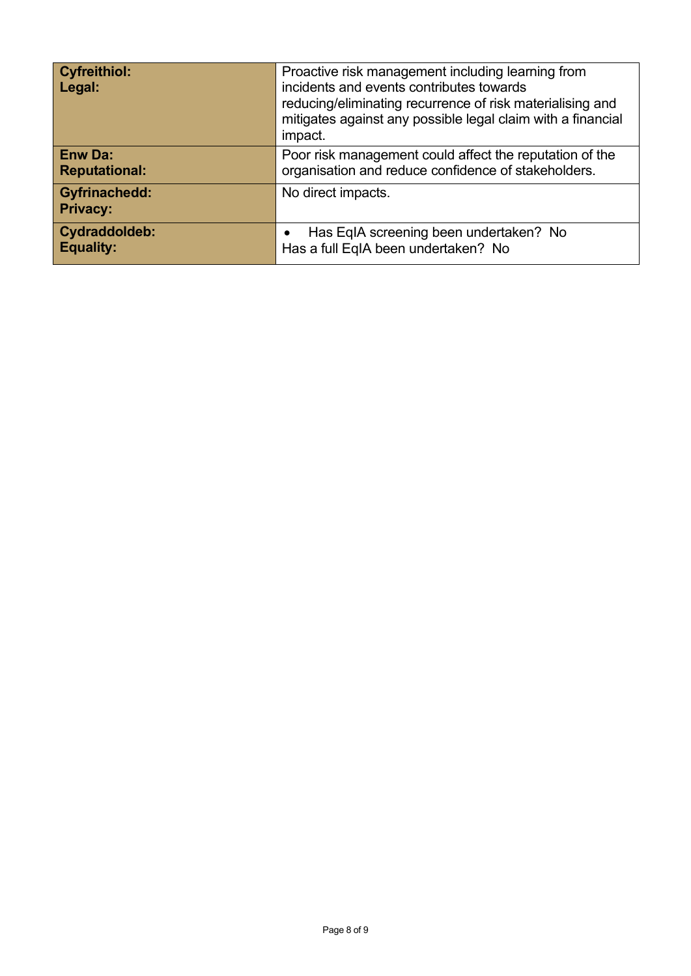| <b>Cyfreithiol:</b><br>Legal:           | Proactive risk management including learning from<br>incidents and events contributes towards<br>reducing/eliminating recurrence of risk materialising and<br>mitigates against any possible legal claim with a financial<br>impact. |  |
|-----------------------------------------|--------------------------------------------------------------------------------------------------------------------------------------------------------------------------------------------------------------------------------------|--|
| <b>Enw Da:</b><br><b>Reputational:</b>  | Poor risk management could affect the reputation of the<br>organisation and reduce confidence of stakeholders.                                                                                                                       |  |
| <b>Gyfrinachedd:</b><br><b>Privacy:</b> | No direct impacts.                                                                                                                                                                                                                   |  |
| Cydraddoldeb:<br><b>Equality:</b>       | Has EqIA screening been undertaken? No<br>$\bullet$<br>Has a full EqIA been undertaken? No                                                                                                                                           |  |